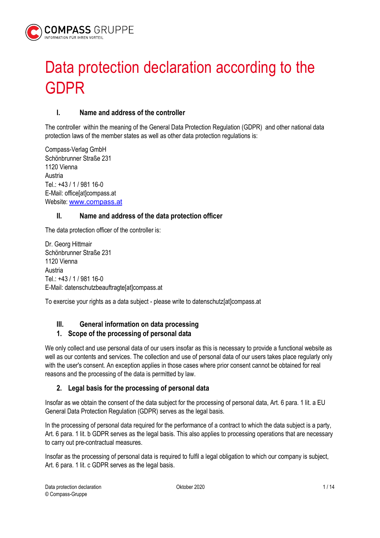

# Data protection declaration according to the GDPR

## I. Name and address of the controller

The controller within the meaning of the General Data Protection Regulation (GDPR) and other national data protection laws of the member states as well as other data protection regulations is:

Compass-Verlag GmbH Schönbrunner Straße 231 1120 Vienna Austria Tel.: +43 / 1 / 981 16-0 E-Mail: office[at]compass.at Website: www.compass.at

## II. Name and address of the data protection officer

The data protection officer of the controller is:

Dr. Georg Hittmair Schönbrunner Straße 231 1120 Vienna Austria Tel.: +43 / 1 / 981 16-0 E-Mail: datenschutzbeauftragte[at]compass.at

To exercise your rights as a data subject - please write to datenschutz[at]compass.at

## III. General information on data processing

## 1. Scope of the processing of personal data

We only collect and use personal data of our users insofar as this is necessary to provide a functional website as well as our contents and services. The collection and use of personal data of our users takes place regularly only with the user's consent. An exception applies in those cases where prior consent cannot be obtained for real reasons and the processing of the data is permitted by law.

## 2. Legal basis for the processing of personal data

Insofar as we obtain the consent of the data subject for the processing of personal data, Art. 6 para. 1 lit. a EU General Data Protection Regulation (GDPR) serves as the legal basis.

In the processing of personal data required for the performance of a contract to which the data subject is a party, Art. 6 para. 1 lit. b GDPR serves as the legal basis. This also applies to processing operations that are necessary to carry out pre-contractual measures.

Insofar as the processing of personal data is required to fulfil a legal obligation to which our company is subject, Art. 6 para. 1 lit. c GDPR serves as the legal basis.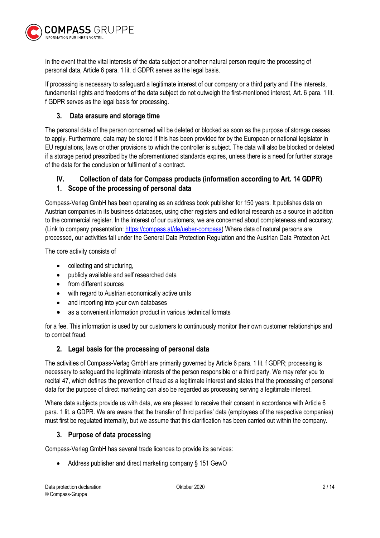

In the event that the vital interests of the data subject or another natural person require the processing of personal data, Article 6 para. 1 lit. d GDPR serves as the legal basis.

If processing is necessary to safeguard a legitimate interest of our company or a third party and if the interests, fundamental rights and freedoms of the data subject do not outweigh the first-mentioned interest, Art. 6 para. 1 lit. f GDPR serves as the legal basis for processing.

## 3. Data erasure and storage time

The personal data of the person concerned will be deleted or blocked as soon as the purpose of storage ceases to apply. Furthermore, data may be stored if this has been provided for by the European or national legislator in EU regulations, laws or other provisions to which the controller is subject. The data will also be blocked or deleted if a storage period prescribed by the aforementioned standards expires, unless there is a need for further storage of the data for the conclusion or fulfilment of a contract.

## IV. Collection of data for Compass products (information according to Art. 14 GDPR)

## 1. Scope of the processing of personal data

Compass-Verlag GmbH has been operating as an address book publisher for 150 years. It publishes data on Austrian companies in its business databases, using other registers and editorial research as a source in addition to the commercial register. In the interest of our customers, we are concerned about completeness and accuracy. (Link to company presentation: https://compass.at/de/ueber-compass) Where data of natural persons are processed, our activities fall under the General Data Protection Regulation and the Austrian Data Protection Act.

The core activity consists of

- collecting and structuring,
- publicly available and self researched data
- from different sources
- with regard to Austrian economically active units
- and importing into your own databases
- as a convenient information product in various technical formats

for a fee. This information is used by our customers to continuously monitor their own customer relationships and to combat fraud.

## 2. Legal basis for the processing of personal data

The activities of Compass-Verlag GmbH are primarily governed by Article 6 para. 1 lit. f GDPR; processing is necessary to safeguard the legitimate interests of the person responsible or a third party. We may refer you to recital 47, which defines the prevention of fraud as a legitimate interest and states that the processing of personal data for the purpose of direct marketing can also be regarded as processing serving a legitimate interest.

Where data subjects provide us with data, we are pleased to receive their consent in accordance with Article 6 para. 1 lit. a GDPR. We are aware that the transfer of third parties' data (employees of the respective companies) must first be regulated internally, but we assume that this clarification has been carried out within the company.

## 3. Purpose of data processing

Compass-Verlag GmbH has several trade licences to provide its services:

• Address publisher and direct marketing company § 151 GewO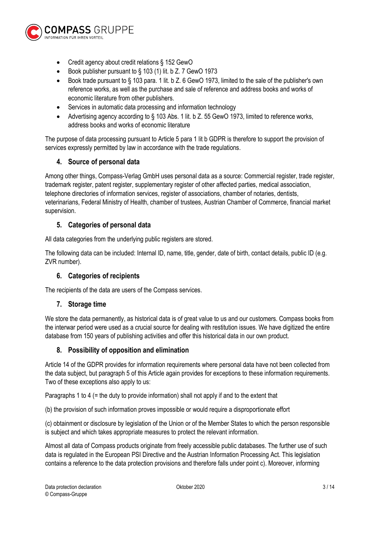

- Credit agency about credit relations § 152 GewO
- Book publisher pursuant to § 103 (1) lit. b Z. 7 GewO 1973
- Book trade pursuant to § 103 para. 1 lit. b Z. 6 GewO 1973, limited to the sale of the publisher's own reference works, as well as the purchase and sale of reference and address books and works of economic literature from other publishers.
- Services in automatic data processing and information technology
- Advertising agency according to § 103 Abs. 1 lit. b Z. 55 GewO 1973, limited to reference works, address books and works of economic literature

The purpose of data processing pursuant to Article 5 para 1 lit b GDPR is therefore to support the provision of services expressly permitted by law in accordance with the trade regulations.

## 4. Source of personal data

Among other things, Compass-Verlag GmbH uses personal data as a source: Commercial register, trade register, trademark register, patent register, supplementary register of other affected parties, medical association, telephone directories of information services, register of associations, chamber of notaries, dentists, veterinarians, Federal Ministry of Health, chamber of trustees, Austrian Chamber of Commerce, financial market supervision.

#### 5. Categories of personal data

All data categories from the underlying public registers are stored.

The following data can be included: Internal ID, name, title, gender, date of birth, contact details, public ID (e.g. ZVR number).

## 6. Categories of recipients

The recipients of the data are users of the Compass services.

#### 7. Storage time

We store the data permanently, as historical data is of great value to us and our customers. Compass books from the interwar period were used as a crucial source for dealing with restitution issues. We have digitized the entire database from 150 years of publishing activities and offer this historical data in our own product.

#### 8. Possibility of opposition and elimination

Article 14 of the GDPR provides for information requirements where personal data have not been collected from the data subject, but paragraph 5 of this Article again provides for exceptions to these information requirements. Two of these exceptions also apply to us:

Paragraphs 1 to 4 (= the duty to provide information) shall not apply if and to the extent that

(b) the provision of such information proves impossible or would require a disproportionate effort

(c) obtainment or disclosure by legislation of the Union or of the Member States to which the person responsible is subject and which takes appropriate measures to protect the relevant information.

Almost all data of Compass products originate from freely accessible public databases. The further use of such data is regulated in the European PSI Directive and the Austrian Information Processing Act. This legislation contains a reference to the data protection provisions and therefore falls under point c). Moreover, informing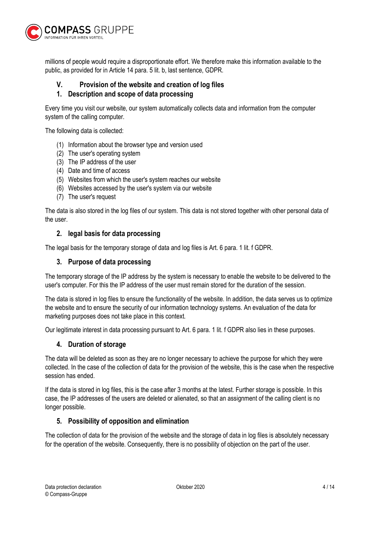

millions of people would require a disproportionate effort. We therefore make this information available to the public, as provided for in Article 14 para. 5 lit. b, last sentence, GDPR.

## V. Provision of the website and creation of log files

## 1. Description and scope of data processing

Every time you visit our website, our system automatically collects data and information from the computer system of the calling computer.

The following data is collected:

- (1) Information about the browser type and version used
- (2) The user's operating system
- (3) The IP address of the user
- (4) Date and time of access
- (5) Websites from which the user's system reaches our website
- (6) Websites accessed by the user's system via our website
- (7) The user's request

The data is also stored in the log files of our system. This data is not stored together with other personal data of the user.

#### 2. legal basis for data processing

The legal basis for the temporary storage of data and log files is Art. 6 para. 1 lit. f GDPR.

#### 3. Purpose of data processing

The temporary storage of the IP address by the system is necessary to enable the website to be delivered to the user's computer. For this the IP address of the user must remain stored for the duration of the session.

The data is stored in log files to ensure the functionality of the website. In addition, the data serves us to optimize the website and to ensure the security of our information technology systems. An evaluation of the data for marketing purposes does not take place in this context.

Our legitimate interest in data processing pursuant to Art. 6 para. 1 lit. f GDPR also lies in these purposes.

#### 4. Duration of storage

The data will be deleted as soon as they are no longer necessary to achieve the purpose for which they were collected. In the case of the collection of data for the provision of the website, this is the case when the respective session has ended.

If the data is stored in log files, this is the case after 3 months at the latest. Further storage is possible. In this case, the IP addresses of the users are deleted or alienated, so that an assignment of the calling client is no longer possible.

#### 5. Possibility of opposition and elimination

The collection of data for the provision of the website and the storage of data in log files is absolutely necessary for the operation of the website. Consequently, there is no possibility of objection on the part of the user.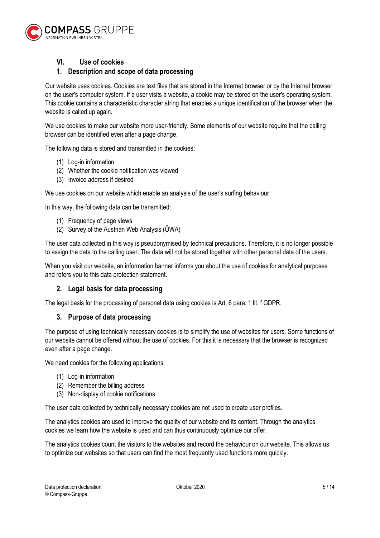

## VI. Use of cookies

## 1. Description and scope of data processing

Our website uses cookies. Cookies are text files that are stored in the Internet browser or by the Internet browser on the user's computer system. If a user visits a website, a cookie may be stored on the user's operating system. This cookie contains a characteristic character string that enables a unique identification of the browser when the website is called up again.

We use cookies to make our website more user-friendly. Some elements of our website require that the calling browser can be identified even after a page change.

The following data is stored and transmitted in the cookies:

- (1) Log-in information
- (2) Whether the cookie notification was viewed
- (3) Invoice address if desired

We use cookies on our website which enable an analysis of the user's surfing behaviour.

In this way, the following data can be transmitted:

- (1) Frequency of page views
- (2) Survey of the Austrian Web Analysis (ÖWA)

The user data collected in this way is pseudonymised by technical precautions. Therefore, it is no longer possible to assign the data to the calling user. The data will not be stored together with other personal data of the users.

When you visit our website, an information banner informs you about the use of cookies for analytical purposes and refers you to this data protection statement.

#### 2. Legal basis for data processing

The legal basis for the processing of personal data using cookies is Art. 6 para. 1 lit. f GDPR.

#### 3. Purpose of data processing

The purpose of using technically necessary cookies is to simplify the use of websites for users. Some functions of our website cannot be offered without the use of cookies. For this it is necessary that the browser is recognized even after a page change.

We need cookies for the following applications:

- (1) Log-in information
- (2) Remember the billing address
- (3) Non-display of cookie notifications

The user data collected by technically necessary cookies are not used to create user profiles.

The analytics cookies are used to improve the quality of our website and its content. Through the analytics cookies we learn how the website is used and can thus continuously optimize our offer.

The analytics cookies count the visitors to the websites and record the behaviour on our website. This allows us to optimize our websites so that users can find the most frequently used functions more quickly.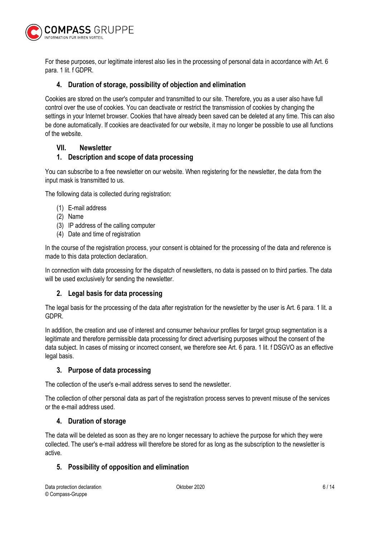

For these purposes, our legitimate interest also lies in the processing of personal data in accordance with Art. 6 para. 1 lit. f GDPR.

## 4. Duration of storage, possibility of objection and elimination

Cookies are stored on the user's computer and transmitted to our site. Therefore, you as a user also have full control over the use of cookies. You can deactivate or restrict the transmission of cookies by changing the settings in your Internet browser. Cookies that have already been saved can be deleted at any time. This can also be done automatically. If cookies are deactivated for our website, it may no longer be possible to use all functions of the website.

#### VII. Newsletter

#### 1. Description and scope of data processing

You can subscribe to a free newsletter on our website. When registering for the newsletter, the data from the input mask is transmitted to us.

The following data is collected during registration:

- (1) E-mail address
- (2) Name
- (3) IP address of the calling computer
- (4) Date and time of registration

In the course of the registration process, your consent is obtained for the processing of the data and reference is made to this data protection declaration.

In connection with data processing for the dispatch of newsletters, no data is passed on to third parties. The data will be used exclusively for sending the newsletter.

#### 2. Legal basis for data processing

The legal basis for the processing of the data after registration for the newsletter by the user is Art. 6 para. 1 lit. a GDPR.

In addition, the creation and use of interest and consumer behaviour profiles for target group segmentation is a legitimate and therefore permissible data processing for direct advertising purposes without the consent of the data subject. In cases of missing or incorrect consent, we therefore see Art. 6 para. 1 lit. f DSGVO as an effective legal basis.

#### 3. Purpose of data processing

The collection of the user's e-mail address serves to send the newsletter.

The collection of other personal data as part of the registration process serves to prevent misuse of the services or the e-mail address used.

#### 4. Duration of storage

The data will be deleted as soon as they are no longer necessary to achieve the purpose for which they were collected. The user's e-mail address will therefore be stored for as long as the subscription to the newsletter is active.

## 5. Possibility of opposition and elimination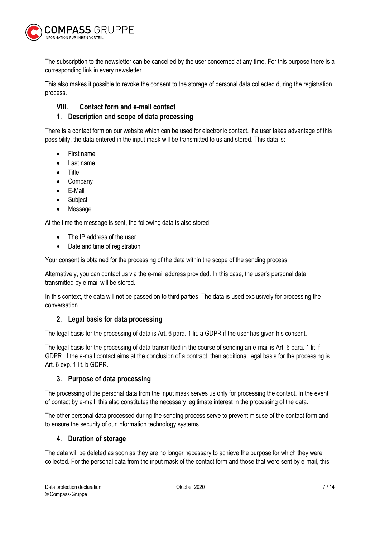

The subscription to the newsletter can be cancelled by the user concerned at any time. For this purpose there is a corresponding link in every newsletter.

This also makes it possible to revoke the consent to the storage of personal data collected during the registration process.

## VIII. Contact form and e-mail contact

## 1. Description and scope of data processing

There is a contact form on our website which can be used for electronic contact. If a user takes advantage of this possibility, the data entered in the input mask will be transmitted to us and stored. This data is:

- First name
- Last name
- **Title**
- Company
- E-Mail
- Subject
- Message

At the time the message is sent, the following data is also stored:

- The IP address of the user
- Date and time of registration

Your consent is obtained for the processing of the data within the scope of the sending process.

Alternatively, you can contact us via the e-mail address provided. In this case, the user's personal data transmitted by e-mail will be stored.

In this context, the data will not be passed on to third parties. The data is used exclusively for processing the conversation.

## 2. Legal basis for data processing

The legal basis for the processing of data is Art. 6 para. 1 lit. a GDPR if the user has given his consent.

The legal basis for the processing of data transmitted in the course of sending an e-mail is Art. 6 para. 1 lit. f GDPR. If the e-mail contact aims at the conclusion of a contract, then additional legal basis for the processing is Art. 6 exp. 1 lit. b GDPR.

#### 3. Purpose of data processing

The processing of the personal data from the input mask serves us only for processing the contact. In the event of contact by e-mail, this also constitutes the necessary legitimate interest in the processing of the data.

The other personal data processed during the sending process serve to prevent misuse of the contact form and to ensure the security of our information technology systems.

#### 4. Duration of storage

The data will be deleted as soon as they are no longer necessary to achieve the purpose for which they were collected. For the personal data from the input mask of the contact form and those that were sent by e-mail, this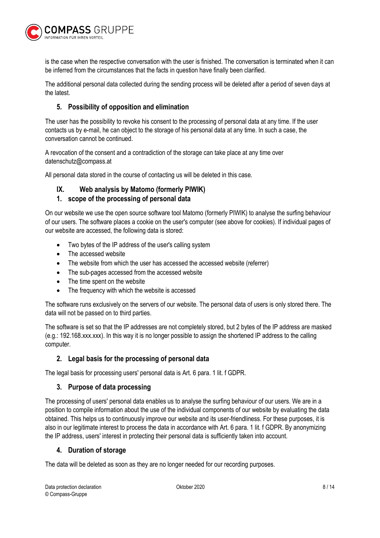

is the case when the respective conversation with the user is finished. The conversation is terminated when it can be inferred from the circumstances that the facts in question have finally been clarified.

The additional personal data collected during the sending process will be deleted after a period of seven days at the latest.

## 5. Possibility of opposition and elimination

The user has the possibility to revoke his consent to the processing of personal data at any time. If the user contacts us by e-mail, he can object to the storage of his personal data at any time. In such a case, the conversation cannot be continued.

A revocation of the consent and a contradiction of the storage can take place at any time over datenschutz@compass.at

All personal data stored in the course of contacting us will be deleted in this case.

## IX. Web analysis by Matomo (formerly PIWIK)

## 1. scope of the processing of personal data

On our website we use the open source software tool Matomo (formerly PIWIK) to analyse the surfing behaviour of our users. The software places a cookie on the user's computer (see above for cookies). If individual pages of our website are accessed, the following data is stored:

- Two bytes of the IP address of the user's calling system
- The accessed website
- The website from which the user has accessed the accessed website (referrer)
- The sub-pages accessed from the accessed website
- The time spent on the website
- The frequency with which the website is accessed

The software runs exclusively on the servers of our website. The personal data of users is only stored there. The data will not be passed on to third parties.

The software is set so that the IP addresses are not completely stored, but 2 bytes of the IP address are masked (e.g.: 192.168.xxx.xxx). In this way it is no longer possible to assign the shortened IP address to the calling computer.

## 2. Legal basis for the processing of personal data

The legal basis for processing users' personal data is Art. 6 para. 1 lit. f GDPR.

#### 3. Purpose of data processing

The processing of users' personal data enables us to analyse the surfing behaviour of our users. We are in a position to compile information about the use of the individual components of our website by evaluating the data obtained. This helps us to continuously improve our website and its user-friendliness. For these purposes, it is also in our legitimate interest to process the data in accordance with Art. 6 para. 1 lit. f GDPR. By anonymizing the IP address, users' interest in protecting their personal data is sufficiently taken into account.

#### 4. Duration of storage

The data will be deleted as soon as they are no longer needed for our recording purposes.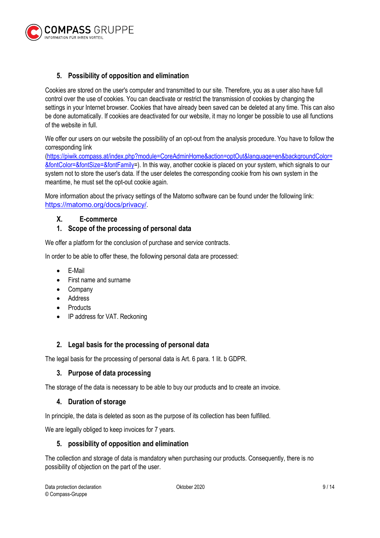

## 5. Possibility of opposition and elimination

Cookies are stored on the user's computer and transmitted to our site. Therefore, you as a user also have full control over the use of cookies. You can deactivate or restrict the transmission of cookies by changing the settings in your Internet browser. Cookies that have already been saved can be deleted at any time. This can also be done automatically. If cookies are deactivated for our website, it may no longer be possible to use all functions of the website in full.

We offer our users on our website the possibility of an opt-out from the analysis procedure. You have to follow the corresponding link

(https://piwik.compass.at/index.php?module=CoreAdminHome&action=optOut&language=en&backgroundColor= &fontColor=&fontSize=&fontFamily=). In this way, another cookie is placed on your system, which signals to our system not to store the user's data. If the user deletes the corresponding cookie from his own system in the meantime, he must set the opt-out cookie again.

More information about the privacy settings of the Matomo software can be found under the following link: https://matomo.org/docs/privacy/.

#### X. E-commerce

#### 1. Scope of the processing of personal data

We offer a platform for the conclusion of purchase and service contracts.

In order to be able to offer these, the following personal data are processed:

- E-Mail
- First name and surname
- Company
- Address
- Products
- IP address for VAT. Reckoning

#### 2. Legal basis for the processing of personal data

The legal basis for the processing of personal data is Art. 6 para. 1 lit. b GDPR.

#### 3. Purpose of data processing

The storage of the data is necessary to be able to buy our products and to create an invoice.

#### 4. Duration of storage

In principle, the data is deleted as soon as the purpose of its collection has been fulfilled.

We are legally obliged to keep invoices for 7 years.

#### 5. possibility of opposition and elimination

The collection and storage of data is mandatory when purchasing our products. Consequently, there is no possibility of objection on the part of the user.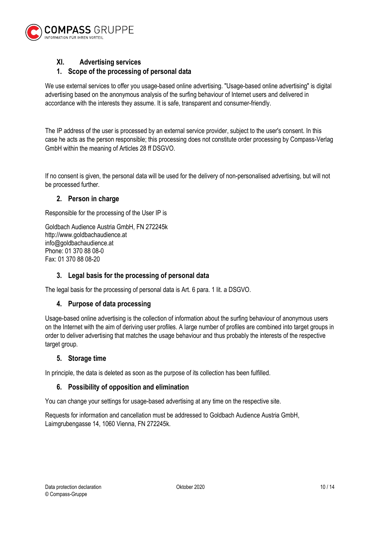

## XI. Advertising services

## 1. Scope of the processing of personal data

We use external services to offer you usage-based online advertising. "Usage-based online advertising" is digital advertising based on the anonymous analysis of the surfing behaviour of Internet users and delivered in accordance with the interests they assume. It is safe, transparent and consumer-friendly.

The IP address of the user is processed by an external service provider, subject to the user's consent. In this case he acts as the person responsible; this processing does not constitute order processing by Compass-Verlag GmbH within the meaning of Articles 28 ff DSGVO.

If no consent is given, the personal data will be used for the delivery of non-personalised advertising, but will not be processed further.

#### 2. Person in charge

Responsible for the processing of the User IP is

Goldbach Audience Austria GmbH, FN 272245k http://www.goldbachaudience.at info@goldbachaudience.at Phone: 01 370 88 08-0 Fax: 01 370 88 08-20

## 3. Legal basis for the processing of personal data

The legal basis for the processing of personal data is Art. 6 para. 1 lit. a DSGVO.

#### 4. Purpose of data processing

Usage-based online advertising is the collection of information about the surfing behaviour of anonymous users on the Internet with the aim of deriving user profiles. A large number of profiles are combined into target groups in order to deliver advertising that matches the usage behaviour and thus probably the interests of the respective target group.

#### 5. Storage time

In principle, the data is deleted as soon as the purpose of its collection has been fulfilled.

#### 6. Possibility of opposition and elimination

You can change your settings for usage-based advertising at any time on the respective site.

Requests for information and cancellation must be addressed to Goldbach Audience Austria GmbH, Laimgrubengasse 14, 1060 Vienna, FN 272245k.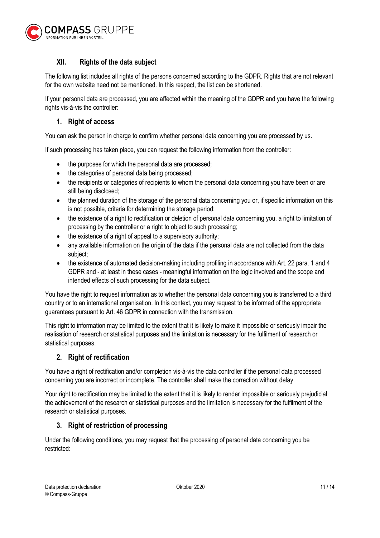

## XII. Rights of the data subject

The following list includes all rights of the persons concerned according to the GDPR. Rights that are not relevant for the own website need not be mentioned. In this respect, the list can be shortened.

If your personal data are processed, you are affected within the meaning of the GDPR and you have the following rights vis-à-vis the controller:

## 1. Right of access

You can ask the person in charge to confirm whether personal data concerning you are processed by us.

If such processing has taken place, you can request the following information from the controller:

- the purposes for which the personal data are processed;
- the categories of personal data being processed;
- the recipients or categories of recipients to whom the personal data concerning you have been or are still being disclosed;
- the planned duration of the storage of the personal data concerning you or, if specific information on this is not possible, criteria for determining the storage period;
- the existence of a right to rectification or deletion of personal data concerning you, a right to limitation of processing by the controller or a right to object to such processing;
- the existence of a right of appeal to a supervisory authority;
- any available information on the origin of the data if the personal data are not collected from the data subject;
- the existence of automated decision-making including profiling in accordance with Art. 22 para. 1 and 4 GDPR and - at least in these cases - meaningful information on the logic involved and the scope and intended effects of such processing for the data subject.

You have the right to request information as to whether the personal data concerning you is transferred to a third country or to an international organisation. In this context, you may request to be informed of the appropriate guarantees pursuant to Art. 46 GDPR in connection with the transmission.

This right to information may be limited to the extent that it is likely to make it impossible or seriously impair the realisation of research or statistical purposes and the limitation is necessary for the fulfilment of research or statistical purposes.

#### 2. Right of rectification

You have a right of rectification and/or completion vis-à-vis the data controller if the personal data processed concerning you are incorrect or incomplete. The controller shall make the correction without delay.

Your right to rectification may be limited to the extent that it is likely to render impossible or seriously prejudicial the achievement of the research or statistical purposes and the limitation is necessary for the fulfilment of the research or statistical purposes.

#### 3. Right of restriction of processing

Under the following conditions, you may request that the processing of personal data concerning you be restricted: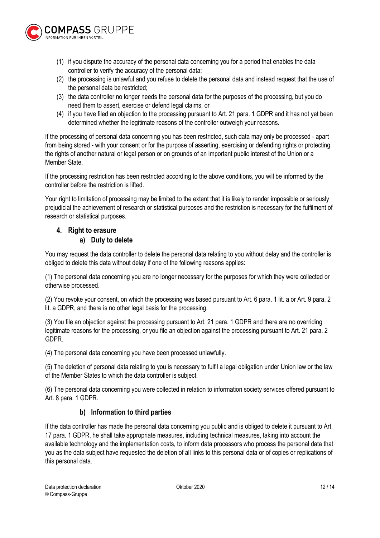

- (1) if you dispute the accuracy of the personal data concerning you for a period that enables the data controller to verify the accuracy of the personal data;
- (2) the processing is unlawful and you refuse to delete the personal data and instead request that the use of the personal data be restricted;
- (3) the data controller no longer needs the personal data for the purposes of the processing, but you do need them to assert, exercise or defend legal claims, or
- (4) if you have filed an objection to the processing pursuant to Art. 21 para. 1 GDPR and it has not yet been determined whether the legitimate reasons of the controller outweigh your reasons.

If the processing of personal data concerning you has been restricted, such data may only be processed - apart from being stored - with your consent or for the purpose of asserting, exercising or defending rights or protecting the rights of another natural or legal person or on grounds of an important public interest of the Union or a Member State.

If the processing restriction has been restricted according to the above conditions, you will be informed by the controller before the restriction is lifted.

Your right to limitation of processing may be limited to the extent that it is likely to render impossible or seriously prejudicial the achievement of research or statistical purposes and the restriction is necessary for the fulfilment of research or statistical purposes.

## 4. Right to erasure

## a) Duty to delete

You may request the data controller to delete the personal data relating to you without delay and the controller is obliged to delete this data without delay if one of the following reasons applies:

(1) The personal data concerning you are no longer necessary for the purposes for which they were collected or otherwise processed.

(2) You revoke your consent, on which the processing was based pursuant to Art. 6 para. 1 lit. a or Art. 9 para. 2 lit. a GDPR, and there is no other legal basis for the processing.

(3) You file an objection against the processing pursuant to Art. 21 para. 1 GDPR and there are no overriding legitimate reasons for the processing, or you file an objection against the processing pursuant to Art. 21 para. 2 GDPR.

(4) The personal data concerning you have been processed unlawfully.

(5) The deletion of personal data relating to you is necessary to fulfil a legal obligation under Union law or the law of the Member States to which the data controller is subject.

(6) The personal data concerning you were collected in relation to information society services offered pursuant to Art. 8 para. 1 GDPR.

## b) Information to third parties

If the data controller has made the personal data concerning you public and is obliged to delete it pursuant to Art. 17 para. 1 GDPR, he shall take appropriate measures, including technical measures, taking into account the available technology and the implementation costs, to inform data processors who process the personal data that you as the data subject have requested the deletion of all links to this personal data or of copies or replications of this personal data.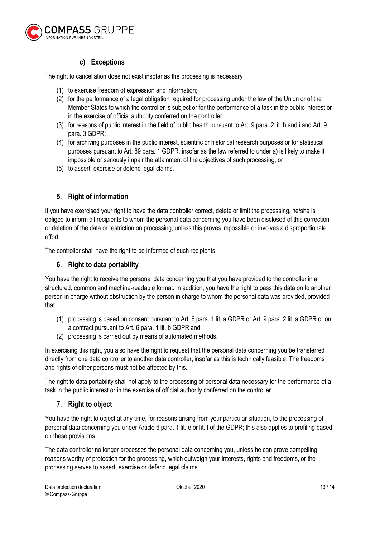

## c) Exceptions

The right to cancellation does not exist insofar as the processing is necessary

- (1) to exercise freedom of expression and information;
- (2) for the performance of a legal obligation required for processing under the law of the Union or of the Member States to which the controller is subject or for the performance of a task in the public interest or in the exercise of official authority conferred on the controller;
- (3) for reasons of public interest in the field of public health pursuant to Art. 9 para. 2 lit. h and i and Art. 9 para. 3 GDPR;
- (4) for archiving purposes in the public interest, scientific or historical research purposes or for statistical purposes pursuant to Art. 89 para. 1 GDPR, insofar as the law referred to under a) is likely to make it impossible or seriously impair the attainment of the objectives of such processing, or
- (5) to assert, exercise or defend legal claims.

## 5. Right of information

If you have exercised your right to have the data controller correct, delete or limit the processing, he/she is obliged to inform all recipients to whom the personal data concerning you have been disclosed of this correction or deletion of the data or restriction on processing, unless this proves impossible or involves a disproportionate effort.

The controller shall have the right to be informed of such recipients.

## 6. Right to data portability

You have the right to receive the personal data concerning you that you have provided to the controller in a structured, common and machine-readable format. In addition, you have the right to pass this data on to another person in charge without obstruction by the person in charge to whom the personal data was provided, provided that

- (1) processing is based on consent pursuant to Art. 6 para. 1 lit. a GDPR or Art. 9 para. 2 lit. a GDPR or on a contract pursuant to Art. 6 para. 1 lit. b GDPR and
- (2) processing is carried out by means of automated methods.

In exercising this right, you also have the right to request that the personal data concerning you be transferred directly from one data controller to another data controller, insofar as this is technically feasible. The freedoms and rights of other persons must not be affected by this.

The right to data portability shall not apply to the processing of personal data necessary for the performance of a task in the public interest or in the exercise of official authority conferred on the controller.

## 7. Right to object

You have the right to object at any time, for reasons arising from your particular situation, to the processing of personal data concerning you under Article 6 para. 1 lit. e or lit. f of the GDPR; this also applies to profiling based on these provisions.

The data controller no longer processes the personal data concerning you, unless he can prove compelling reasons worthy of protection for the processing, which outweigh your interests, rights and freedoms, or the processing serves to assert, exercise or defend legal claims.